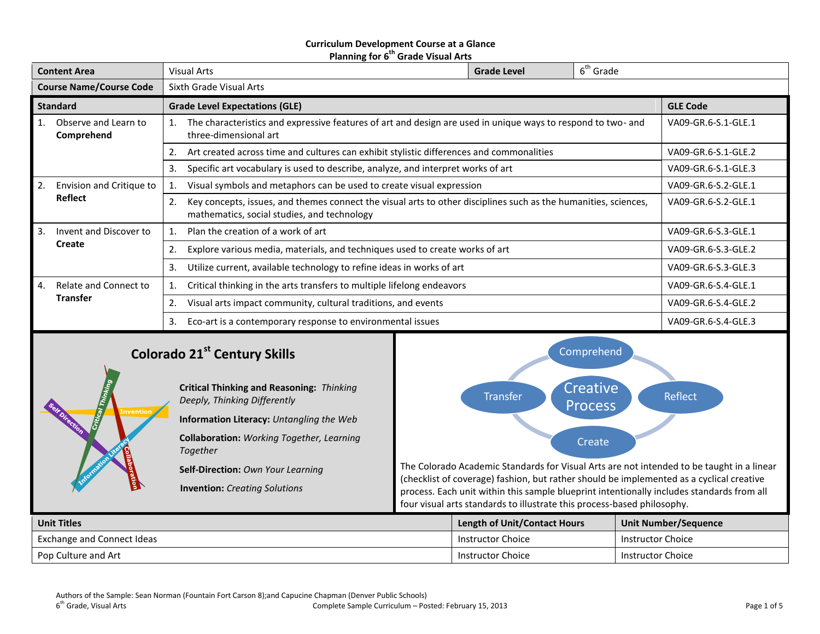### **Curriculum Development Course at a Glance Planning for 6 th Grade Visual Arts**

| <b>Content Area</b>                                                                    | Visual Arts                                                                                                                                                          | <b>Grade Level</b>  | $6th$ Grade         |                     |  |
|----------------------------------------------------------------------------------------|----------------------------------------------------------------------------------------------------------------------------------------------------------------------|---------------------|---------------------|---------------------|--|
| <b>Course Name/Course Code</b>                                                         | Sixth Grade Visual Arts                                                                                                                                              |                     |                     |                     |  |
| <b>Standard</b>                                                                        | <b>Grade Level Expectations (GLE)</b><br><b>GLE Code</b>                                                                                                             |                     |                     |                     |  |
| Observe and Learn to<br>Comprehend                                                     | The characteristics and expressive features of art and design are used in unique ways to respond to two- and<br>three-dimensional art                                |                     |                     | VA09-GR.6-S.1-GLE.1 |  |
|                                                                                        | Art created across time and cultures can exhibit stylistic differences and commonalities<br>2.                                                                       |                     |                     | VA09-GR.6-S.1-GLE.2 |  |
| Specific art vocabulary is used to describe, analyze, and interpret works of art<br>3. |                                                                                                                                                                      |                     |                     | VA09-GR.6-S.1-GLE.3 |  |
| Envision and Critique to<br>2.                                                         | Visual symbols and metaphors can be used to create visual expression                                                                                                 |                     |                     |                     |  |
| <b>Reflect</b>                                                                         | Key concepts, issues, and themes connect the visual arts to other disciplines such as the humanities, sciences,<br>2.<br>mathematics, social studies, and technology | VA09-GR.6-S.2-GLE.1 |                     |                     |  |
| 3.<br>Invent and Discover to                                                           | Plan the creation of a work of art                                                                                                                                   |                     | VA09-GR.6-S.3-GLE.1 |                     |  |
| Create                                                                                 | Explore various media, materials, and techniques used to create works of art<br>2.                                                                                   |                     |                     | VA09-GR.6-S.3-GLE.2 |  |
|                                                                                        | Utilize current, available technology to refine ideas in works of art<br>3.                                                                                          | VA09-GR.6-S.3-GLE.3 |                     |                     |  |
| Relate and Connect to<br>4.                                                            | Critical thinking in the arts transfers to multiple lifelong endeavors                                                                                               |                     |                     | VA09-GR.6-S.4-GLE.1 |  |
| <b>Transfer</b>                                                                        | Visual arts impact community, cultural traditions, and events<br>2.                                                                                                  | VA09-GR.6-S.4-GLE.2 |                     |                     |  |
| Eco-art is a contemporary response to environmental issues<br>3.                       |                                                                                                                                                                      |                     | VA09-GR.6-S.4-GLE.3 |                     |  |

# **Colorado 21st Century Skills**



## **Critical Thinking and Reasoning:** *Thinking Deeply, Thinking Differently* **Information Literacy:** *Untangling the Web* **Collaboration:** *Working Together, Learning Together* **Self-Direction:** *Own Your Learning* **Invention:** *Creating Solutions*



The Colorado Academic Standards for Visual Arts are not intended to be taught in a linear (checklist of coverage) fashion, but rather should be implemented as a cyclical creative process. Each unit within this sample blueprint intentionally includes standards from all four visual arts standards to illustrate this process-based philosophy.

| <b>Unit Titles</b>         | <b>Length of Unit/Contact Hours</b> | Unit Number/Sequence |
|----------------------------|-------------------------------------|----------------------|
| Exchange and Connect Ideas | Instructor Choice                   | Instructor Choice    |
| Pop Culture and Art        | Instructor Choice                   | Instructor Choice    |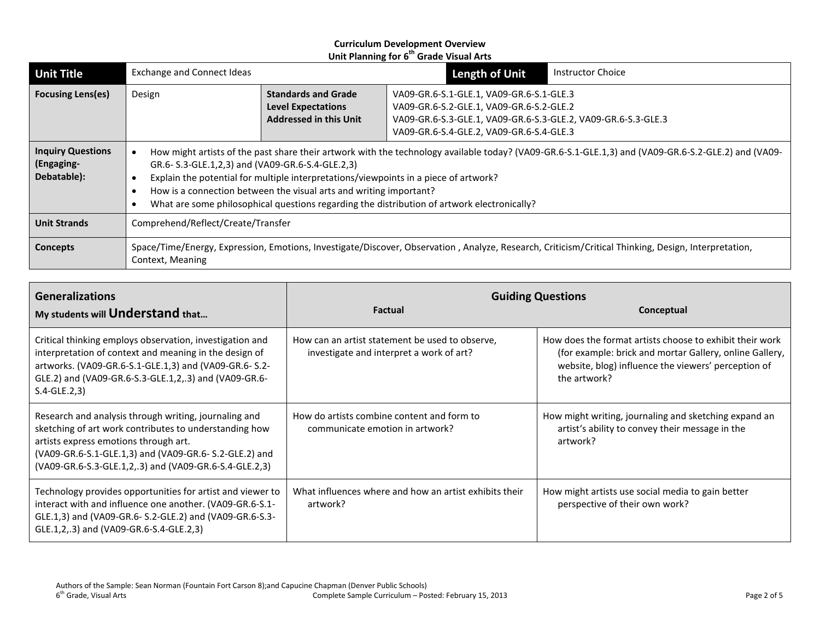| <b>Unit Title</b>                                     | <b>Exchange and Connect Ideas</b>  |                                                                                                                                                                                                                                                                                                                                                                                                                                                                     |                                                                                                                                                                                                   | <b>Length of Unit</b> | Instructor Choice                                                                                                                                   |
|-------------------------------------------------------|------------------------------------|---------------------------------------------------------------------------------------------------------------------------------------------------------------------------------------------------------------------------------------------------------------------------------------------------------------------------------------------------------------------------------------------------------------------------------------------------------------------|---------------------------------------------------------------------------------------------------------------------------------------------------------------------------------------------------|-----------------------|-----------------------------------------------------------------------------------------------------------------------------------------------------|
| <b>Focusing Lens(es)</b>                              | Design                             | <b>Standards and Grade</b><br><b>Level Expectations</b><br><b>Addressed in this Unit</b>                                                                                                                                                                                                                                                                                                                                                                            | VA09-GR.6-S.1-GLE.1, VA09-GR.6-S.1-GLE.3<br>VA09-GR.6-S.2-GLE.1, VA09-GR.6-S.2-GLE.2<br>VA09-GR.6-S.3-GLE.1, VA09-GR.6-S.3-GLE.2, VA09-GR.6-S.3-GLE.3<br>VA09-GR.6-S.4-GLE.2, VA09-GR.6-S.4-GLE.3 |                       |                                                                                                                                                     |
| <b>Inquiry Questions</b><br>(Engaging-<br>Debatable): |                                    | How might artists of the past share their artwork with the technology available today? (VA09-GR.6-S.1-GLE.1,3) and (VA09-GR.6-S.2-GLE.2) and (VA09-<br>GR.6-S.3-GLE.1,2,3) and (VA09-GR.6-S.4-GLE.2,3)<br>Explain the potential for multiple interpretations/viewpoints in a piece of artwork?<br>How is a connection between the visual arts and writing important?<br>What are some philosophical questions regarding the distribution of artwork electronically? |                                                                                                                                                                                                   |                       |                                                                                                                                                     |
| <b>Unit Strands</b>                                   | Comprehend/Reflect/Create/Transfer |                                                                                                                                                                                                                                                                                                                                                                                                                                                                     |                                                                                                                                                                                                   |                       |                                                                                                                                                     |
| <b>Concepts</b>                                       | Context, Meaning                   |                                                                                                                                                                                                                                                                                                                                                                                                                                                                     |                                                                                                                                                                                                   |                       | Space/Time/Energy, Expression, Emotions, Investigate/Discover, Observation, Analyze, Research, Criticism/Critical Thinking, Design, Interpretation, |

| <b>Generalizations</b><br>My students will Understand that                                                                                                                                                                                                                   | <b>Factual</b>                                                                              | <b>Guiding Questions</b><br>Conceptual                                                                                                                                                     |
|------------------------------------------------------------------------------------------------------------------------------------------------------------------------------------------------------------------------------------------------------------------------------|---------------------------------------------------------------------------------------------|--------------------------------------------------------------------------------------------------------------------------------------------------------------------------------------------|
| Critical thinking employs observation, investigation and<br>interpretation of context and meaning in the design of<br>artworks. (VA09-GR.6-S.1-GLE.1,3) and (VA09-GR.6-S.2-<br>GLE.2) and (VA09-GR.6-S.3-GLE.1,2,.3) and (VA09-GR.6-<br>$S.4-GLE.2,3)$                       | How can an artist statement be used to observe,<br>investigate and interpret a work of art? | How does the format artists choose to exhibit their work<br>(for example: brick and mortar Gallery, online Gallery,<br>website, blog) influence the viewers' perception of<br>the artwork? |
| Research and analysis through writing, journaling and<br>sketching of art work contributes to understanding how<br>artists express emotions through art.<br>(VA09-GR.6-S.1-GLE.1,3) and (VA09-GR.6- S.2-GLE.2) and<br>(VA09-GR.6-S.3-GLE.1,2,.3) and (VA09-GR.6-S.4-GLE.2,3) | How do artists combine content and form to<br>communicate emotion in artwork?               | How might writing, journaling and sketching expand an<br>artist's ability to convey their message in the<br>artwork?                                                                       |
| Technology provides opportunities for artist and viewer to<br>interact with and influence one another. (VA09-GR.6-S.1-<br>GLE.1,3) and (VA09-GR.6- S.2-GLE.2) and (VA09-GR.6-S.3-<br>GLE.1,2,.3) and (VA09-GR.6-S.4-GLE.2,3)                                                 | What influences where and how an artist exhibits their<br>artwork?                          | How might artists use social media to gain better<br>perspective of their own work?                                                                                                        |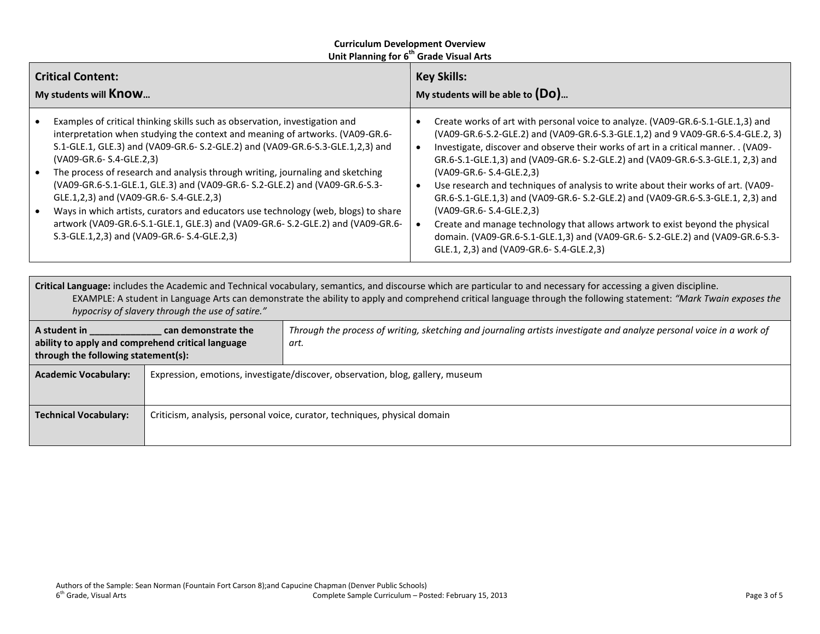| <b>Critical Content:</b><br>My students will Know                                                                                                                                                                                                                                                                                                                                                                                                                                                                                                                                                                                                                                                             | <b>Key Skills:</b><br>My students will be able to $(Do)$                                                                                                                                                                                                                                                                                                                                                                                                                                                                                                                                                                                                                                                                                                                                    |  |
|---------------------------------------------------------------------------------------------------------------------------------------------------------------------------------------------------------------------------------------------------------------------------------------------------------------------------------------------------------------------------------------------------------------------------------------------------------------------------------------------------------------------------------------------------------------------------------------------------------------------------------------------------------------------------------------------------------------|---------------------------------------------------------------------------------------------------------------------------------------------------------------------------------------------------------------------------------------------------------------------------------------------------------------------------------------------------------------------------------------------------------------------------------------------------------------------------------------------------------------------------------------------------------------------------------------------------------------------------------------------------------------------------------------------------------------------------------------------------------------------------------------------|--|
| Examples of critical thinking skills such as observation, investigation and<br>interpretation when studying the context and meaning of artworks. (VA09-GR.6-<br>S.1-GLE.1, GLE.3) and (VA09-GR.6- S.2-GLE.2) and (VA09-GR.6-S.3-GLE.1,2,3) and<br>(VA09-GR.6- S.4-GLE.2,3)<br>The process of research and analysis through writing, journaling and sketching<br>(VA09-GR.6-S.1-GLE.1, GLE.3) and (VA09-GR.6- S.2-GLE.2) and (VA09-GR.6-S.3-<br>GLE.1,2,3) and (VA09-GR.6- S.4-GLE.2,3)<br>Ways in which artists, curators and educators use technology (web, blogs) to share<br>artwork (VA09-GR.6-S.1-GLE.1, GLE.3) and (VA09-GR.6- S.2-GLE.2) and (VA09-GR.6-<br>S.3-GLE.1,2,3) and (VA09-GR.6-S.4-GLE.2,3) | Create works of art with personal voice to analyze. (VA09-GR.6-S.1-GLE.1,3) and<br>(VA09-GR.6-S.2-GLE.2) and (VA09-GR.6-S.3-GLE.1,2) and 9 VA09-GR.6-S.4-GLE.2, 3)<br>Investigate, discover and observe their works of art in a critical manner. . (VA09-<br>GR.6-S.1-GLE.1,3) and (VA09-GR.6- S.2-GLE.2) and (VA09-GR.6-S.3-GLE.1, 2,3) and<br>(VA09-GR.6- S.4-GLE.2,3)<br>Use research and techniques of analysis to write about their works of art. (VA09-<br>GR.6-S.1-GLE.1,3) and (VA09-GR.6- S.2-GLE.2) and (VA09-GR.6-S.3-GLE.1, 2,3) and<br>(VA09-GR.6- S.4-GLE.2,3)<br>Create and manage technology that allows artwork to exist beyond the physical<br>domain. (VA09-GR.6-S.1-GLE.1,3) and (VA09-GR.6- S.2-GLE.2) and (VA09-GR.6-S.3-<br>GLE.1, 2,3) and (VA09-GR.6- S.4-GLE.2,3) |  |
| Critical Language: includes the Academic and Technical vocabulary, semantics, and discourse which are particular to and necessary for accessing a given discipline.                                                                                                                                                                                                                                                                                                                                                                                                                                                                                                                                           | $\mathsf{EVALUATE}$ . A considerable to consider the descriptional conditional consideration of consideration of the condition of $\mathcal{L}$ and $\mathcal{L}$                                                                                                                                                                                                                                                                                                                                                                                                                                                                                                                                                                                                                           |  |

EXAMPLE: A student in Language Arts can demonstrate the ability to apply and comprehend critical language through the following statement: *"Mark Twain exposes the hypocrisy of slavery through the use of satire."*

| A student in<br>ability to apply and comprehend critical language<br>through the following statement(s): | can demonstrate the                                                            | Through the process of writing, sketching and journaling artists investigate and analyze personal voice in a work of<br>art. |
|----------------------------------------------------------------------------------------------------------|--------------------------------------------------------------------------------|------------------------------------------------------------------------------------------------------------------------------|
| <b>Academic Vocabulary:</b>                                                                              | Expression, emotions, investigate/discover, observation, blog, gallery, museum |                                                                                                                              |
| <b>Technical Vocabulary:</b>                                                                             |                                                                                | Criticism, analysis, personal voice, curator, techniques, physical domain                                                    |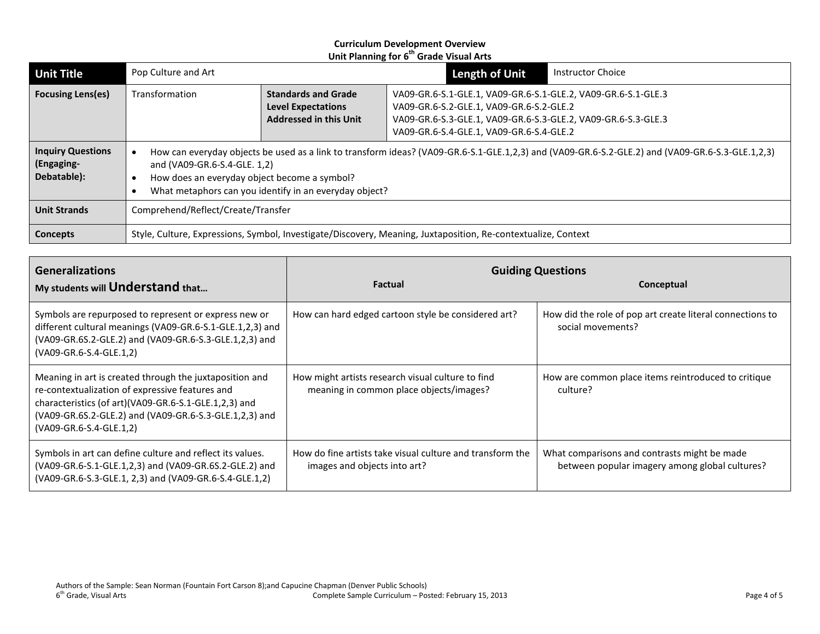| <b>Unit Title</b>                                     | Pop Culture and Art                                                                                                                                                                                                                                                                        |                                                                                          | <b>Length of Unit</b>                                                                                                                                                                                                  | Instructor Choice |
|-------------------------------------------------------|--------------------------------------------------------------------------------------------------------------------------------------------------------------------------------------------------------------------------------------------------------------------------------------------|------------------------------------------------------------------------------------------|------------------------------------------------------------------------------------------------------------------------------------------------------------------------------------------------------------------------|-------------------|
| <b>Focusing Lens(es)</b>                              | Transformation                                                                                                                                                                                                                                                                             | <b>Standards and Grade</b><br><b>Level Expectations</b><br><b>Addressed in this Unit</b> | VA09-GR.6-S.1-GLE.1, VA09-GR.6-S.1-GLE.2, VA09-GR.6-S.1-GLE.3<br>VA09-GR.6-S.2-GLE.1, VA09-GR.6-S.2-GLE.2<br>VA09-GR.6-S.3-GLE.1, VA09-GR.6-S.3-GLE.2, VA09-GR.6-S.3-GLE.3<br>VA09-GR.6-S.4-GLE.1, VA09-GR.6-S.4-GLE.2 |                   |
| <b>Inquiry Questions</b><br>(Engaging-<br>Debatable): | How can everyday objects be used as a link to transform ideas? (VA09-GR.6-S.1-GLE.1,2,3) and (VA09-GR.6-S.2-GLE.2) and (VA09-GR.6-S.3-GLE.1,2,3)<br>and (VA09-GR.6-S.4-GLE. 1,2)<br>How does an everyday object become a symbol?<br>What metaphors can you identify in an everyday object? |                                                                                          |                                                                                                                                                                                                                        |                   |
| <b>Unit Strands</b>                                   | Comprehend/Reflect/Create/Transfer                                                                                                                                                                                                                                                         |                                                                                          |                                                                                                                                                                                                                        |                   |
| <b>Concepts</b>                                       |                                                                                                                                                                                                                                                                                            |                                                                                          | Style, Culture, Expressions, Symbol, Investigate/Discovery, Meaning, Juxtaposition, Re-contextualize, Context                                                                                                          |                   |

| <b>Generalizations</b>                                                                                                                                                                                                                                   | <b>Guiding Questions</b>                                                                     |                                                                                                |  |  |
|----------------------------------------------------------------------------------------------------------------------------------------------------------------------------------------------------------------------------------------------------------|----------------------------------------------------------------------------------------------|------------------------------------------------------------------------------------------------|--|--|
| My students will <b>Understand</b> that                                                                                                                                                                                                                  | <b>Factual</b>                                                                               | Conceptual                                                                                     |  |  |
| Symbols are repurposed to represent or express new or<br>different cultural meanings (VA09-GR.6-S.1-GLE.1,2,3) and<br>(VA09-GR.6S.2-GLE.2) and (VA09-GR.6-S.3-GLE.1,2,3) and<br>(VA09-GR.6-S.4-GLE.1,2)                                                  | How can hard edged cartoon style be considered art?                                          | How did the role of pop art create literal connections to<br>social movements?                 |  |  |
| Meaning in art is created through the juxtaposition and<br>re-contextualization of expressive features and<br>characteristics (of art)(VA09-GR.6-S.1-GLE.1,2,3) and<br>(VA09-GR.6S.2-GLE.2) and (VA09-GR.6-S.3-GLE.1,2,3) and<br>(VA09-GR.6-S.4-GLE.1,2) | How might artists research visual culture to find<br>meaning in common place objects/images? | How are common place items reintroduced to critique<br>culture?                                |  |  |
| Symbols in art can define culture and reflect its values.<br>(VA09-GR.6-S.1-GLE.1,2,3) and (VA09-GR.6S.2-GLE.2) and<br>(VA09-GR.6-S.3-GLE.1, 2,3) and (VA09-GR.6-S.4-GLE.1,2)                                                                            | How do fine artists take visual culture and transform the<br>images and objects into art?    | What comparisons and contrasts might be made<br>between popular imagery among global cultures? |  |  |